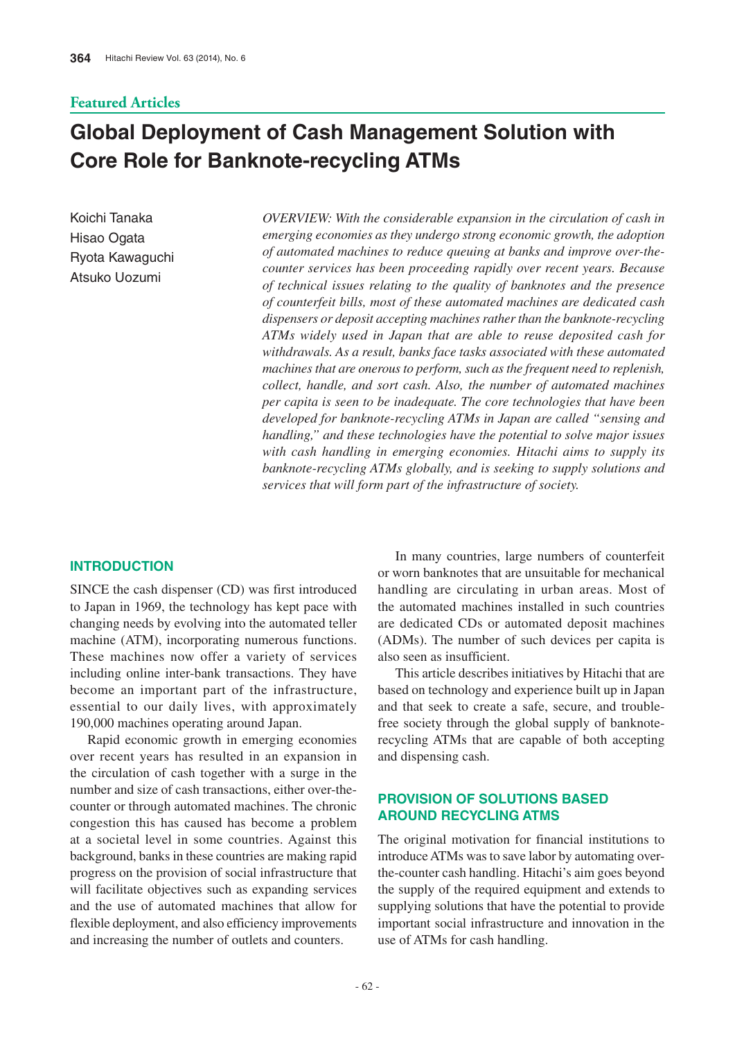# **Featured Articles**

# **Global Deployment of Cash Management Solution with Core Role for Banknote-recycling ATMs**

Koichi Tanaka Hisao Ogata Ryota Kawaguchi Atsuko Uozumi Atsuko Uozumi

*OVERVIEW: With the considerable expansion in the circulation of cash in emerging economies as they undergo strong economic growth, the adoption of automated machines to reduce queuing at banks and improve over-thecounter services has been proceeding rapidly over recent years. Because of technical issues relating to the quality of banknotes and the presence of counterfeit bills, most of these automated machines are dedicated cash dispensers or deposit accepting machines rather than the banknote-recycling ATMs widely used in Japan that are able to reuse deposited cash for withdrawals. As a result, banks face tasks associated with these automated machines that are onerous to perform, such as the frequent need to replenish, collect, handle, and sort cash. Also, the number of automated machines per capita is seen to be inadequate. The core technologies that have been developed for banknote-recycling ATMs in Japan are called "sensing and handling," and these technologies have the potential to solve major issues with cash handling in emerging economies. Hitachi aims to supply its banknote-recycling ATMs globally, and is seeking to supply solutions and services that will form part of the infrastructure of society.*

#### **INTRODUCTION**

SINCE the cash dispenser (CD) was first introduced to Japan in 1969, the technology has kept pace with changing needs by evolving into the automated teller machine (ATM), incorporating numerous functions. These machines now offer a variety of services including online inter-bank transactions. They have become an important part of the infrastructure, essential to our daily lives, with approximately 190,000 machines operating around Japan.

Rapid economic growth in emerging economies over recent years has resulted in an expansion in the circulation of cash together with a surge in the number and size of cash transactions, either over-thecounter or through automated machines. The chronic congestion this has caused has become a problem at a societal level in some countries. Against this background, banks in these countries are making rapid progress on the provision of social infrastructure that will facilitate objectives such as expanding services and the use of automated machines that allow for flexible deployment, and also efficiency improvements and increasing the number of outlets and counters.

In many countries, large numbers of counterfeit or worn banknotes that are unsuitable for mechanical handling are circulating in urban areas. Most of the automated machines installed in such countries are dedicated CDs or automated deposit machines (ADMs). The number of such devices per capita is also seen as insufficient.

This article describes initiatives by Hitachi that are based on technology and experience built up in Japan and that seek to create a safe, secure, and troublefree society through the global supply of banknoterecycling ATMs that are capable of both accepting and dispensing cash.

## **PROVISION OF SOLUTIONS BASED AROUND RECYCLING ATMS**

The original motivation for financial institutions to introduce ATMs was to save labor by automating overthe-counter cash handling. Hitachi's aim goes beyond the supply of the required equipment and extends to supplying solutions that have the potential to provide important social infrastructure and innovation in the use of ATMs for cash handling.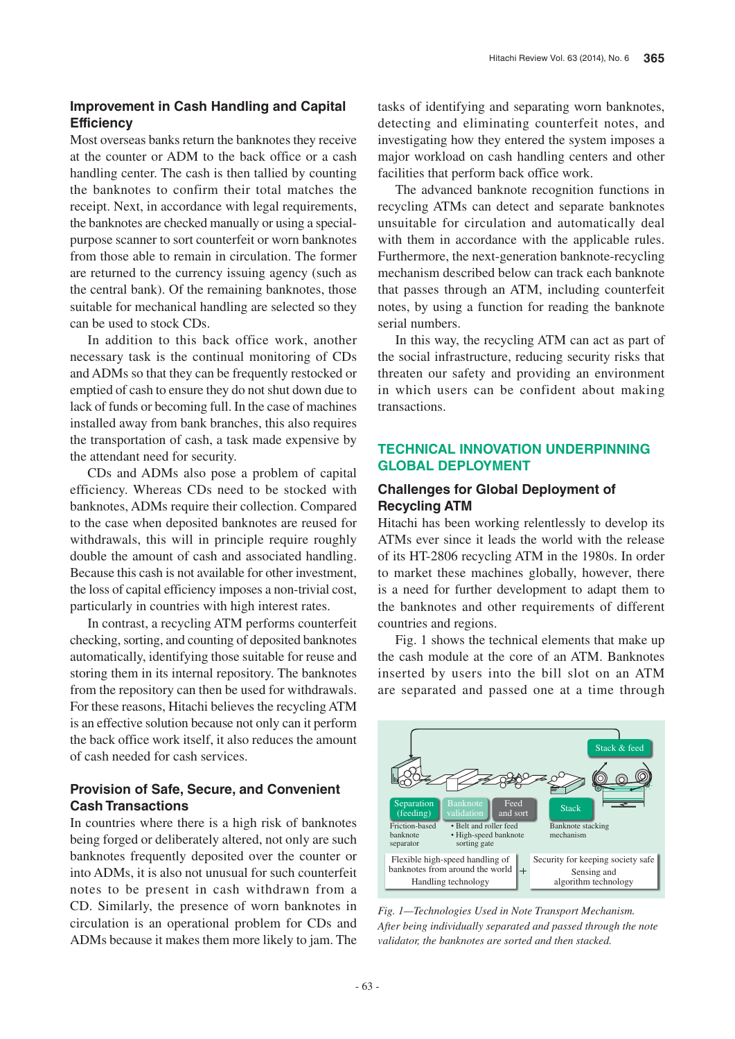### **Improvement in Cash Handling and Capital Efficiency**

Most overseas banks return the banknotes they receive at the counter or ADM to the back office or a cash handling center. The cash is then tallied by counting the banknotes to confirm their total matches the receipt. Next, in accordance with legal requirements, the banknotes are checked manually or using a specialpurpose scanner to sort counterfeit or worn banknotes from those able to remain in circulation. The former are returned to the currency issuing agency (such as the central bank). Of the remaining banknotes, those suitable for mechanical handling are selected so they can be used to stock CDs.

In addition to this back office work, another necessary task is the continual monitoring of CDs and ADMs so that they can be frequently restocked or emptied of cash to ensure they do not shut down due to lack of funds or becoming full. In the case of machines installed away from bank branches, this also requires the transportation of cash, a task made expensive by the attendant need for security.

CDs and ADMs also pose a problem of capital efficiency. Whereas CDs need to be stocked with banknotes, ADMs require their collection. Compared to the case when deposited banknotes are reused for withdrawals, this will in principle require roughly double the amount of cash and associated handling. Because this cash is not available for other investment, the loss of capital efficiency imposes a non-trivial cost, particularly in countries with high interest rates.

In contrast, a recycling ATM performs counterfeit checking, sorting, and counting of deposited banknotes automatically, identifying those suitable for reuse and storing them in its internal repository. The banknotes from the repository can then be used for withdrawals. For these reasons, Hitachi believes the recycling ATM is an effective solution because not only can it perform the back office work itself, it also reduces the amount of cash needed for cash services.

# **Provision of Safe, Secure, and Convenient Cash Transactions**

In countries where there is a high risk of banknotes being forged or deliberately altered, not only are such banknotes frequently deposited over the counter or into ADMs, it is also not unusual for such counterfeit notes to be present in cash withdrawn from a CD. Similarly, the presence of worn banknotes in circulation is an operational problem for CDs and ADMs because it makes them more likely to jam. The tasks of identifying and separating worn banknotes, detecting and eliminating counterfeit notes, and investigating how they entered the system imposes a major workload on cash handling centers and other facilities that perform back office work.

The advanced banknote recognition functions in recycling ATMs can detect and separate banknotes unsuitable for circulation and automatically deal with them in accordance with the applicable rules. Furthermore, the next-generation banknote-recycling mechanism described below can track each banknote that passes through an ATM, including counterfeit notes, by using a function for reading the banknote serial numbers.

In this way, the recycling ATM can act as part of the social infrastructure, reducing security risks that threaten our safety and providing an environment in which users can be confident about making transactions.

### **TECHNICAL INNOVATION UNDERPINNING GLOBAL DEPLOYMENT**

#### **Challenges for Global Deployment of Recycling ATM**

Hitachi has been working relentlessly to develop its ATMs ever since it leads the world with the release of its HT-2806 recycling ATM in the 1980s. In order to market these machines globally, however, there is a need for further development to adapt them to the banknotes and other requirements of different countries and regions.

Fig. 1 shows the technical elements that make up the cash module at the core of an ATM. Banknotes inserted by users into the bill slot on an ATM are separated and passed one at a time through



*Fig. 1—Technologies Used in Note Transport Mechanism. After being individually separated and passed through the note validator, the banknotes are sorted and then stacked.*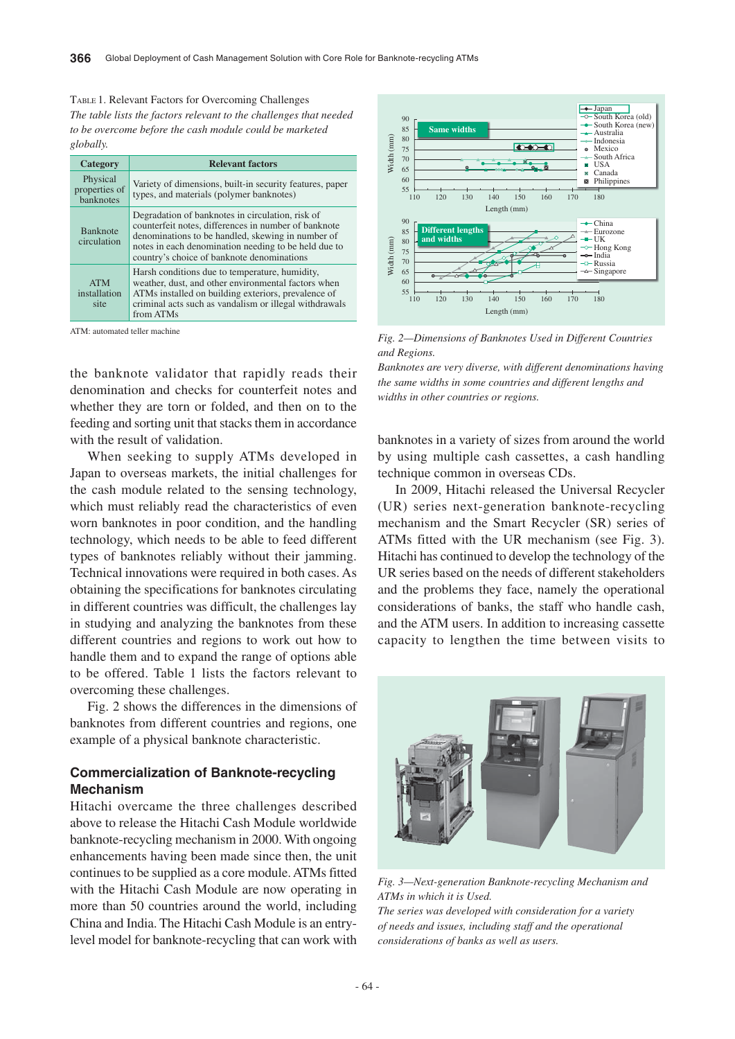TABLE 1. Relevant Factors for Overcoming Challenges *The table lists the factors relevant to the challenges that needed to be overcome before the cash module could be marketed globally.*

| Category                                      | <b>Relevant factors</b>                                                                                                                                                                                                                                             |
|-----------------------------------------------|---------------------------------------------------------------------------------------------------------------------------------------------------------------------------------------------------------------------------------------------------------------------|
| Physical<br>properties of<br><b>banknotes</b> | Variety of dimensions, built-in security features, paper<br>types, and materials (polymer banknotes)                                                                                                                                                                |
| <b>Banknote</b><br>circulation                | Degradation of banknotes in circulation, risk of<br>counterfeit notes, differences in number of banknote<br>denominations to be handled, skewing in number of<br>notes in each denomination needing to be held due to<br>country's choice of banknote denominations |
| <b>ATM</b><br>installation<br>site            | Harsh conditions due to temperature, humidity,<br>weather, dust, and other environmental factors when<br>ATMs installed on building exteriors, prevalence of<br>criminal acts such as vandalism or illegal withdrawals<br>from ATMs                                 |

ATM: automated teller machine

the banknote validator that rapidly reads their denomination and checks for counterfeit notes and whether they are torn or folded, and then on to the feeding and sorting unit that stacks them in accordance with the result of validation.

When seeking to supply ATMs developed in Japan to overseas markets, the initial challenges for the cash module related to the sensing technology, which must reliably read the characteristics of even worn banknotes in poor condition, and the handling technology, which needs to be able to feed different types of banknotes reliably without their jamming. Technical innovations were required in both cases. As obtaining the specifications for banknotes circulating in different countries was difficult, the challenges lay in studying and analyzing the banknotes from these different countries and regions to work out how to handle them and to expand the range of options able to be offered. Table 1 lists the factors relevant to overcoming these challenges.

Fig. 2 shows the differences in the dimensions of banknotes from different countries and regions, one example of a physical banknote characteristic.

## **Commercialization of Banknote-recycling Mechanism**

Hitachi overcame the three challenges described above to release the Hitachi Cash Module worldwide banknote-recycling mechanism in 2000. With ongoing enhancements having been made since then, the unit continues to be supplied as a core module. ATMs fitted with the Hitachi Cash Module are now operating in more than 50 countries around the world, including China and India. The Hitachi Cash Module is an entrylevel model for banknote-recycling that can work with



*Fig. 2—Dimensions of Banknotes Used in Different Countries and Regions.*

*Banknotes are very diverse, with different denominations having the same widths in some countries and different lengths and widths in other countries or regions.*

banknotes in a variety of sizes from around the world by using multiple cash cassettes, a cash handling technique common in overseas CDs.

In 2009, Hitachi released the Universal Recycler (UR) series next-generation banknote-recycling mechanism and the Smart Recycler (SR) series of ATMs fitted with the UR mechanism (see Fig. 3). Hitachi has continued to develop the technology of the UR series based on the needs of different stakeholders and the problems they face, namely the operational considerations of banks, the staff who handle cash, and the ATM users. In addition to increasing cassette capacity to lengthen the time between visits to



*Fig. 3—Next-generation Banknote-recycling Mechanism and ATMs in which it is Used.*

*The series was developed with consideration for a variety of needs and issues, including staff and the operational considerations of banks as well as users.*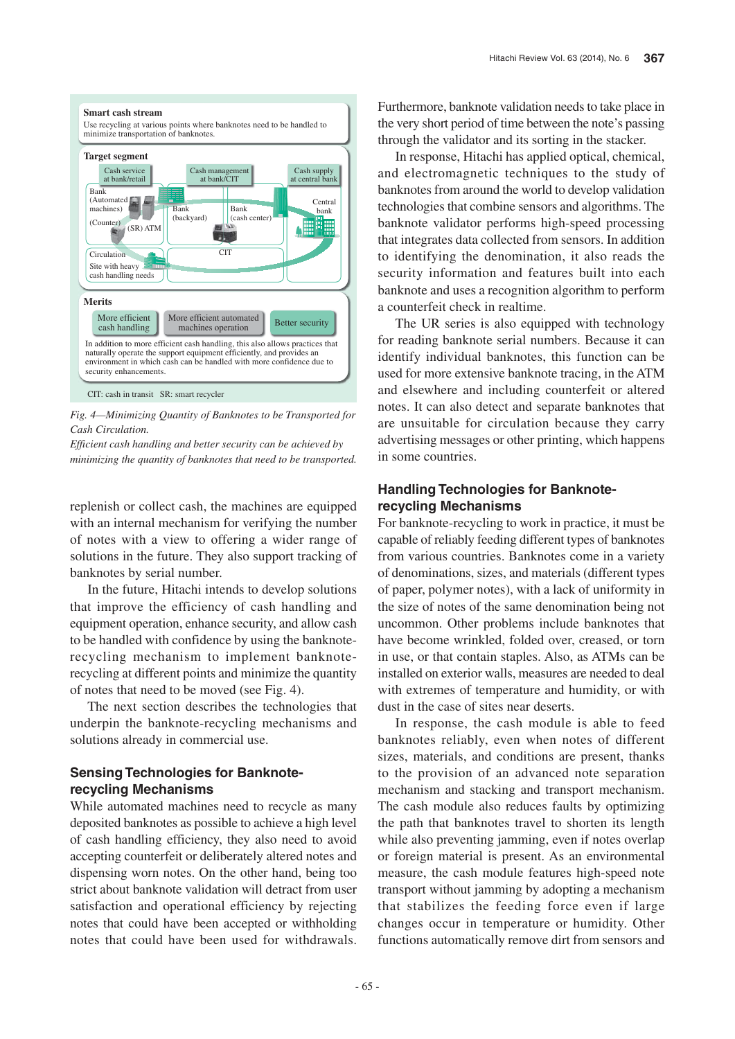

*Fig. 4—Minimizing Quantity of Banknotes to be Transported for Cash Circulation.*

*Efficient cash handling and better security can be achieved by minimizing the quantity of banknotes that need to be transported.*

replenish or collect cash, the machines are equipped with an internal mechanism for verifying the number of notes with a view to offering a wider range of solutions in the future. They also support tracking of banknotes by serial number.

In the future, Hitachi intends to develop solutions that improve the efficiency of cash handling and equipment operation, enhance security, and allow cash to be handled with confidence by using the banknoterecycling mechanism to implement banknoterecycling at different points and minimize the quantity of notes that need to be moved (see Fig. 4).

The next section describes the technologies that underpin the banknote-recycling mechanisms and solutions already in commercial use.

# **Sensing Technologies for Banknoterecycling Mechanisms**

While automated machines need to recycle as many deposited banknotes as possible to achieve a high level of cash handling efficiency, they also need to avoid accepting counterfeit or deliberately altered notes and dispensing worn notes. On the other hand, being too strict about banknote validation will detract from user satisfaction and operational efficiency by rejecting notes that could have been accepted or withholding notes that could have been used for withdrawals.

Furthermore, banknote validation needs to take place in the very short period of time between the note's passing through the validator and its sorting in the stacker.

In response, Hitachi has applied optical, chemical, and electromagnetic techniques to the study of banknotes from around the world to develop validation technologies that combine sensors and algorithms. The banknote validator performs high-speed processing that integrates data collected from sensors. In addition to identifying the denomination, it also reads the security information and features built into each banknote and uses a recognition algorithm to perform a counterfeit check in realtime.

The UR series is also equipped with technology for reading banknote serial numbers. Because it can identify individual banknotes, this function can be used for more extensive banknote tracing, in the ATM and elsewhere and including counterfeit or altered notes. It can also detect and separate banknotes that are unsuitable for circulation because they carry advertising messages or other printing, which happens in some countries.

### **Handling Technologies for Banknoterecycling Mechanisms**

For banknote-recycling to work in practice, it must be capable of reliably feeding different types of banknotes from various countries. Banknotes come in a variety of denominations, sizes, and materials (different types of paper, polymer notes), with a lack of uniformity in the size of notes of the same denomination being not uncommon. Other problems include banknotes that have become wrinkled, folded over, creased, or torn in use, or that contain staples. Also, as ATMs can be installed on exterior walls, measures are needed to deal with extremes of temperature and humidity, or with dust in the case of sites near deserts.

In response, the cash module is able to feed banknotes reliably, even when notes of different sizes, materials, and conditions are present, thanks to the provision of an advanced note separation mechanism and stacking and transport mechanism. The cash module also reduces faults by optimizing the path that banknotes travel to shorten its length while also preventing jamming, even if notes overlap or foreign material is present. As an environmental measure, the cash module features high-speed note transport without jamming by adopting a mechanism that stabilizes the feeding force even if large changes occur in temperature or humidity. Other functions automatically remove dirt from sensors and